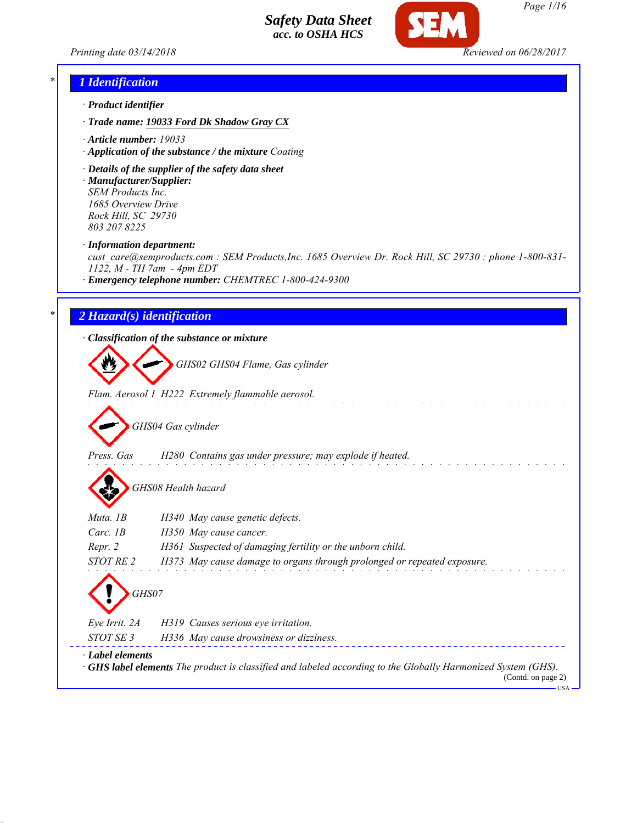*Printing date 03/14/2018 Reviewed on 06/28/2017*



*Page 1/16*

# *\* 1 Identification*

- *· Product identifier*
- *· Trade name: 19033 Ford Dk Shadow Gray CX*
- *· Article number: 19033*
- *· Application of the substance / the mixture Coating*
- *· Details of the supplier of the safety data sheet · Manufacturer/Supplier: SEM Products Inc.*

*1685 Overview Drive Rock Hill, SC 29730 803 207 8225*

*· Information department:*

*cust\_care@semproducts.com : SEM Products,Inc. 1685 Overview Dr. Rock Hill, SC 29730 : phone 1-800-831- 1122, M - TH 7am - 4pm EDT*

*· Emergency telephone number: CHEMTREC 1-800-424-9300*

### *\* 2 Hazard(s) identification*

*· Classification of the substance or mixture*

*GHS02 GHS04 Flame, Gas cylinder*

*Flam. Aerosol 1 H222 Extremely flammable aerosol.*

*GHS04 Gas cylinder*

- *Press. Gas H280 Contains gas under pressure; may explode if heated.*
	- *GHS08 Health hazard*

| Muta. 1B               | H340 May cause genetic defects.                                                                                                          |
|------------------------|------------------------------------------------------------------------------------------------------------------------------------------|
| Carc. $1B$             | H350 May cause cancer.                                                                                                                   |
| Repr. 2                | H361 Suspected of damaging fertility or the unborn child.                                                                                |
| STOT RE 2              | H373 May cause damage to organs through prolonged or repeated exposure.                                                                  |
| GHS07<br>Eye Irrit. 2A | H319 Causes serious eye irritation.                                                                                                      |
| STOT SE 3              | H336 May cause drowsiness or dizziness.                                                                                                  |
| · Label elements       | <b>GHS label elements</b> The product is classified and labeled according to the Globally Harmonized System (GHS).<br>(Contd. on page 2) |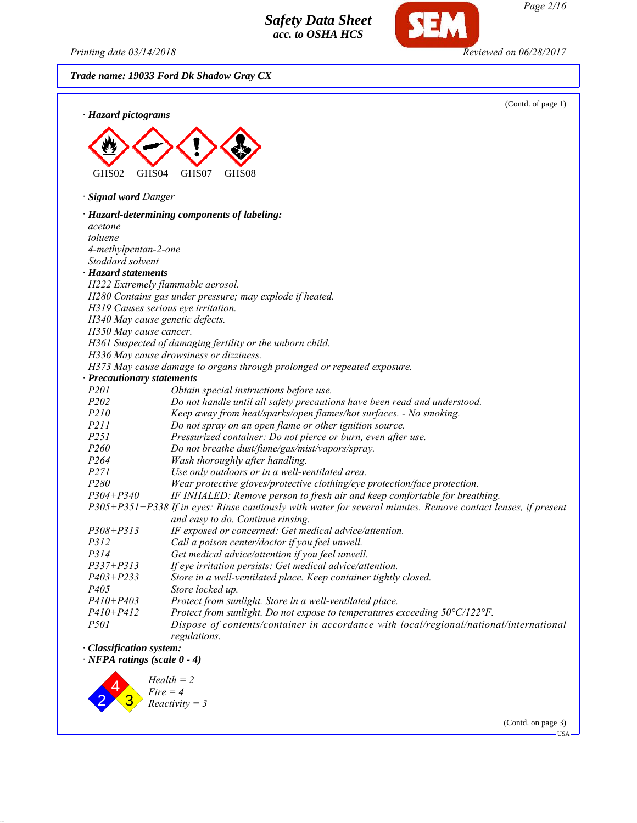2

3

*Fire = 4 Reactivity = 3*

*Printing date 03/14/2018 Reviewed on 06/28/2017*

*Page 2/16*

(Contd. on page 3)

**IISA** 

*Trade name: 19033 Ford Dk Shadow Gray CX*

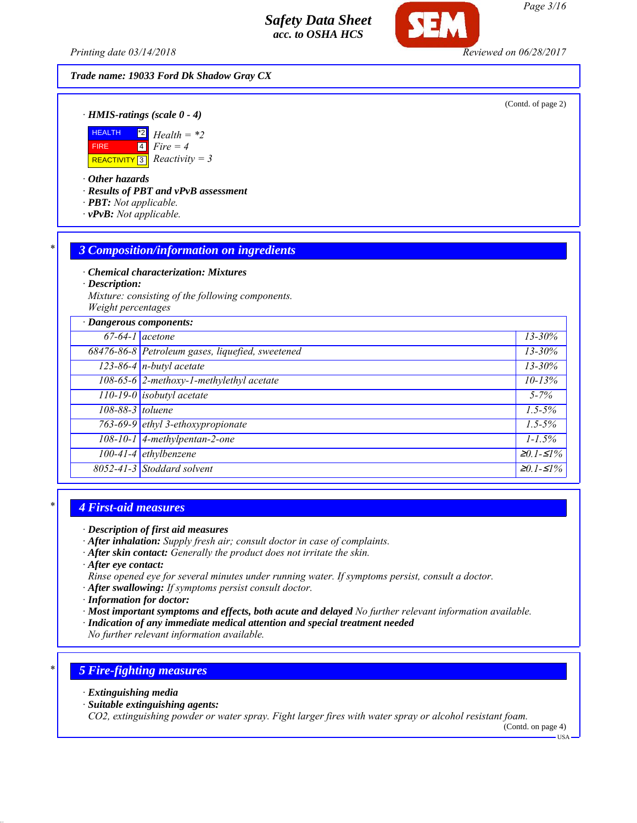*Printing date 03/14/2018 Reviewed on 06/28/2017*

*Trade name: 19033 Ford Dk Shadow Gray CX*

(Contd. of page 2)

*· HMIS-ratings (scale 0 - 4)*



*· Other hazards*

*· Results of PBT and vPvB assessment*

- *· PBT: Not applicable.*
- *· vPvB: Not applicable.*

### *\* 3 Composition/information on ingredients*

*· Chemical characterization: Mixtures*

*· Description:*

*Mixture: consisting of the following components. Weight percentages*

|                  | · Dangerous components:                          |                   |  |  |
|------------------|--------------------------------------------------|-------------------|--|--|
|                  | $67-64-1$ acetone                                | $13 - 30\%$       |  |  |
|                  | 68476-86-8 Petroleum gases, liquefied, sweetened | $13 - 30\%$       |  |  |
|                  | $123-86-4$ n-butyl acetate                       | $13 - 30\%$       |  |  |
|                  | 108-65-6 2-methoxy-1-methylethyl acetate         | $10 - 13%$        |  |  |
|                  | $110-19-0$ isobutyl acetate                      | $5 - 7\%$         |  |  |
| 108-88-3 toluene |                                                  | $1.5 - 5\%$       |  |  |
|                  | 763-69-9 ethyl 3-ethoxypropionate                | $1.5 - 5\%$       |  |  |
|                  | $108-10-1$ 4-methylpentan-2-one                  | $1 - 1.5\%$       |  |  |
|                  | $100-41-4$ ethylbenzene                          | $\geq 0.1 - 51\%$ |  |  |
|                  | 8052-41-3 Stoddard solvent                       | $\geq 0.1 - 51\%$ |  |  |

### *\* 4 First-aid measures*

- *· After inhalation: Supply fresh air; consult doctor in case of complaints.*
- *· After skin contact: Generally the product does not irritate the skin.*
- *· After eye contact:*
- *Rinse opened eye for several minutes under running water. If symptoms persist, consult a doctor.*
- *· After swallowing: If symptoms persist consult doctor.*
- *· Information for doctor:*
- *· Most important symptoms and effects, both acute and delayed No further relevant information available.*
- *· Indication of any immediate medical attention and special treatment needed*

*No further relevant information available.*

# *\* 5 Fire-fighting measures*

- *· Extinguishing media*
- *· Suitable extinguishing agents:*

*CO2, extinguishing powder or water spray. Fight larger fires with water spray or alcohol resistant foam.*

(Contd. on page 4)

*Page 3/16*

*<sup>·</sup> Description of first aid measures*

USA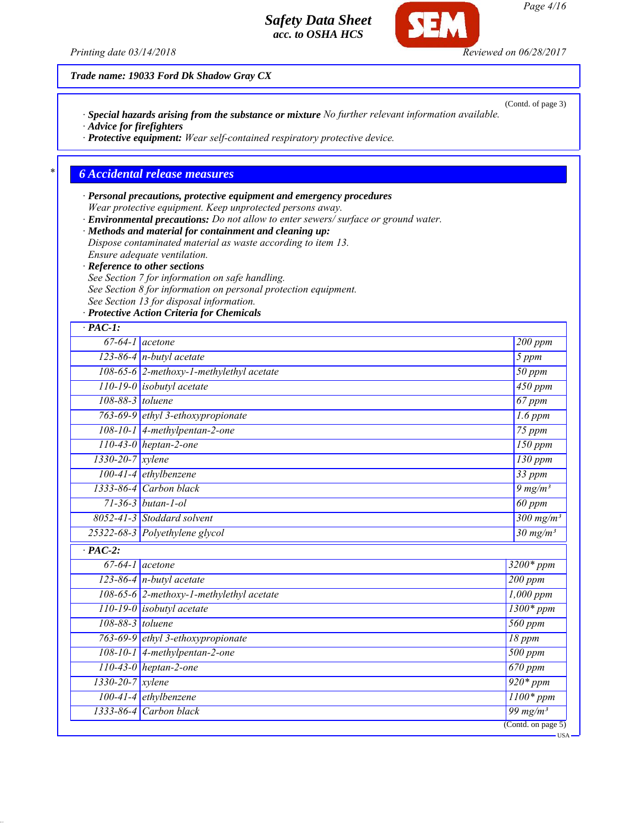(Contd. of page 3)

*Page 4/16*

*Trade name: 19033 Ford Dk Shadow Gray CX*

*· Special hazards arising from the substance or mixture No further relevant information available. · Advice for firefighters*

*· Protective equipment: Wear self-contained respiratory protective device.*

### *\* 6 Accidental release measures*

*· Personal precautions, protective equipment and emergency procedures Wear protective equipment. Keep unprotected persons away. · Environmental precautions: Do not allow to enter sewers/ surface or ground water.*

*· Methods and material for containment and cleaning up: Dispose contaminated material as waste according to item 13. Ensure adequate ventilation.*

*· Reference to other sections*

*See Section 7 for information on safe handling.*

*See Section 8 for information on personal protection equipment.*

*See Section 13 for disposal information.*

*· Protective Action Criteria for Chemicals*

| $67-64-1$ acetone             |                                          | 200 ppm                       |
|-------------------------------|------------------------------------------|-------------------------------|
|                               | $123-86-4$ n-butyl acetate               | 5 ppm                         |
|                               | 108-65-6 2-methoxy-1-methylethyl acetate | $\overline{50~ppm}$           |
|                               | 110-19-0 isobutyl acetate                | $\frac{450}{ppm}$             |
| 108-88-3 toluene              |                                          | $\overline{67}$ ppm           |
|                               | 763-69-9 ethyl 3-ethoxypropionate        | $\overline{1.6}$ ppm          |
|                               | 108-10-1 4-methylpentan-2-one            | $\overline{75}$ ppm           |
|                               | $110-43-0$ heptan-2-one                  | $150$ ppm                     |
| $1330 - 20 - 7$ <i>xylene</i> |                                          | 130 ppm                       |
|                               | 100-41-4 ethylbenzene                    | $33$ ppm                      |
|                               | 1333-86-4 Carbon black                   | $9$ mg/m <sup>3</sup>         |
|                               | $71 - 36 - 3$ butan-1-ol                 | $\overline{60}$ ppm           |
|                               | 8052-41-3 Stoddard solvent               | $300$ mg/m <sup>3</sup>       |
|                               | 25322-68-3 Polyethylene glycol           | $30$ mg/m <sup>3</sup>        |
| $\cdot$ PAC-2:                |                                          |                               |
| $67-64-1$ acetone             |                                          | $3200*ppm$                    |
|                               | 123-86-4 $n$ -butyl acetate              | 200 ppm                       |
|                               | 108-65-6 2-methoxy-1-methylethyl acetate | $1,000$ ppm                   |
|                               | 110-19-0 isobutyl acetate                | $1300*ppm$                    |
| 108-88-3 toluene              |                                          | $\overline{560}$ ppm          |
|                               | 763-69-9 ethyl 3-ethoxypropionate        | 18 ppm                        |
|                               | 108-10-1 4-methylpentan-2-one            | $\overline{500}$ ppm          |
|                               | 110-43-0 heptan-2-one                    | $670$ ppm                     |
| 1330-20-7 xylene              |                                          | $\frac{1}{920*ppm}$           |
|                               | $100-41-4$ ethylbenzene                  | $\overline{1100}$ * ppm       |
|                               | 1333-86-4 Carbon black                   | $\frac{99 \text{ mg/m}^3}{2}$ |

*Printing date 03/14/2018 Reviewed on 06/28/2017*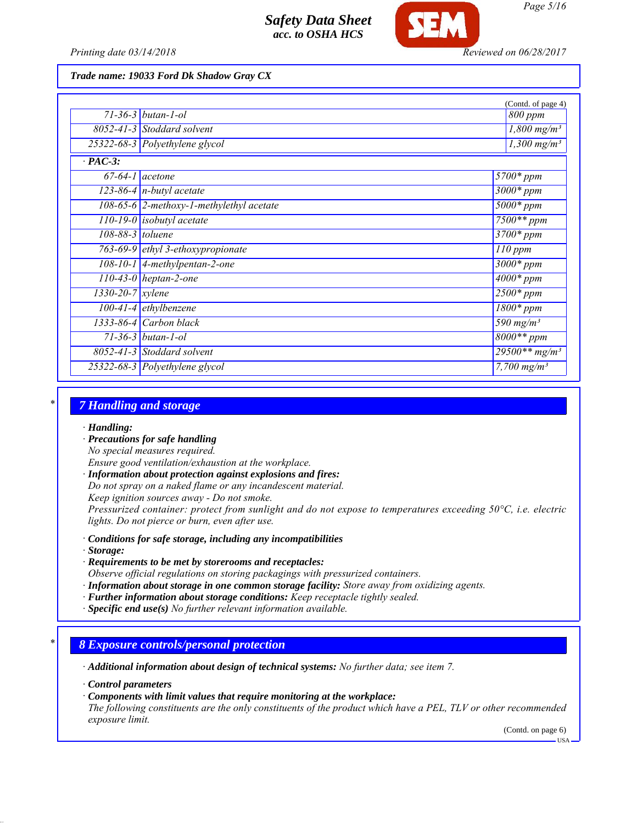

*Printing date 03/14/2018 Reviewed on 06/28/2017*

*Trade name: 19033 Ford Dk Shadow Gray CX*

|                        |                                            | (Contd. of page 4)                 |
|------------------------|--------------------------------------------|------------------------------------|
|                        | $71 - 36 - 3$ butan-1-ol                   | 800 ppm                            |
|                        | 8052-41-3 Stoddard solvent                 | $1,800$ mg/m <sup>3</sup>          |
|                        | 25322-68-3 Polyethylene glycol             | $1,300$ mg/m <sup>3</sup>          |
| $\cdot$ PAC-3:         |                                            |                                    |
|                        | $67-64-1$ acetone                          | $5700*$ ppm                        |
|                        | $123-86-4$ n-butyl acetate                 | $3000*$ ppm                        |
|                        | $108-65-6$ 2-methoxy-1-methylethyl acetate | $5000*ppm$                         |
|                        | $110-19-0$ isobutyl acetate                | $7500**$ ppm                       |
| $108-88-3$ toluene     |                                            | $3700*$ ppm                        |
|                        | 763-69-9 ethyl 3-ethoxypropionate          | $110$ ppm                          |
|                        | 108-10-1 4-methylpentan-2-one              | $3000*$ ppm                        |
|                        | $110-43-0$ heptan-2-one                    | $4000*$ ppm                        |
| $1330 - 20 - 7$ xylene |                                            | $2500*ppm$                         |
|                        | $100-41-4$ ethylbenzene                    | $1800*$ ppm                        |
|                        | $1333-86-4$ Carbon black                   | $\overline{590}$ mg/m <sup>3</sup> |
|                        | $71 - 36 - 3$ butan-1-ol                   | $8000**$ ppm                       |
|                        | $8052 - 41 - 3$ Stoddard solvent           | $29500**mg/m^3$                    |
|                        | 25322-68-3 Polyethylene glycol             | 7,700 $mg/m^3$                     |

### *\* 7 Handling and storage*

### *· Handling:*

- *· Precautions for safe handling*
- *No special measures required.*
- *Ensure good ventilation/exhaustion at the workplace.*
- *· Information about protection against explosions and fires:*
- *Do not spray on a naked flame or any incandescent material.*
- *Keep ignition sources away Do not smoke.*

*Pressurized container: protect from sunlight and do not expose to temperatures exceeding 50°C, i.e. electric lights. Do not pierce or burn, even after use.*

- *· Conditions for safe storage, including any incompatibilities*
- *· Storage:*
- *· Requirements to be met by storerooms and receptacles:*

*Observe official regulations on storing packagings with pressurized containers.*

- *· Information about storage in one common storage facility: Store away from oxidizing agents.*
- *· Further information about storage conditions: Keep receptacle tightly sealed.*
- *· Specific end use(s) No further relevant information available.*

### *\* 8 Exposure controls/personal protection*

*· Additional information about design of technical systems: No further data; see item 7.*

*· Control parameters*

*· Components with limit values that require monitoring at the workplace:*

*The following constituents are the only constituents of the product which have a PEL, TLV or other recommended exposure limit.*

(Contd. on page 6)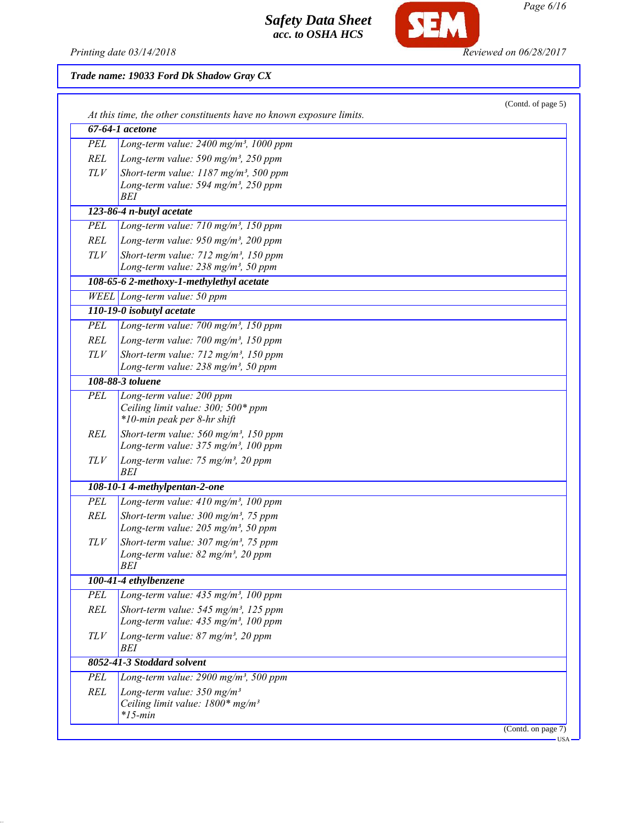

SEM

# *Trade name: 19033 Ford Dk Shadow Gray CX*

|            | At this time, the other constituents have no known exposure limits.                                     |  |
|------------|---------------------------------------------------------------------------------------------------------|--|
|            | $67-64-1$ acetone                                                                                       |  |
| PEL        | Long-term value: 2400 mg/m <sup>3</sup> , 1000 ppm                                                      |  |
| REL        | Long-term value: 590 mg/m <sup>3</sup> , 250 ppm                                                        |  |
| TLV        | Short-term value: 1187 mg/m <sup>3</sup> , 500 ppm                                                      |  |
|            | Long-term value: 594 mg/m <sup>3</sup> , 250 ppm                                                        |  |
|            | BEI                                                                                                     |  |
|            | 123-86-4 n-butyl acetate                                                                                |  |
| PEL        | Long-term value: $710$ mg/m <sup>3</sup> , 150 ppm                                                      |  |
| REL        | Long-term value: $950$ mg/m <sup>3</sup> , 200 ppm                                                      |  |
| TLV        | Short-term value: 712 mg/m <sup>3</sup> , 150 ppm                                                       |  |
|            | Long-term value: 238 mg/m <sup>3</sup> , 50 ppm                                                         |  |
|            | 108-65-6 2-methoxy-1-methylethyl acetate                                                                |  |
|            | WEEL Long-term value: 50 ppm                                                                            |  |
|            | 110-19-0 isobutyl acetate                                                                               |  |
| PEL        | Long-term value: $700$ mg/m <sup>3</sup> , 150 ppm                                                      |  |
| REL        | Long-term value: $700$ mg/m <sup>3</sup> , 150 ppm                                                      |  |
| TLV        | Short-term value: 712 mg/m <sup>3</sup> , 150 ppm                                                       |  |
|            | Long-term value: 238 mg/m <sup>3</sup> , 50 ppm                                                         |  |
|            | 108-88-3 toluene                                                                                        |  |
| PEL        | Long-term value: 200 ppm                                                                                |  |
|            | Ceiling limit value: 300; 500* ppm                                                                      |  |
|            | *10-min peak per 8-hr shift                                                                             |  |
| REL        | Short-term value: $560$ mg/m <sup>3</sup> , 150 ppm<br>Long-term value: 375 mg/m <sup>3</sup> , 100 ppm |  |
| TLV        | Long-term value: 75 mg/m <sup>3</sup> , 20 ppm                                                          |  |
|            | BEI                                                                                                     |  |
|            | 108-10-1 4-methylpentan-2-one                                                                           |  |
| <b>PEL</b> | Long-term value: 410 mg/m <sup>3</sup> , 100 ppm                                                        |  |
| REL        | Short-term value: 300 mg/m <sup>3</sup> , 75 ppm                                                        |  |
|            | Long-term value: $205$ mg/m <sup>3</sup> , 50 ppm                                                       |  |
| TLV        | Short-term value: $307 \text{ mg/m}^3$ , 75 ppm                                                         |  |
|            | Long-term value: $82$ mg/m <sup>3</sup> , 20 ppm                                                        |  |
|            | <b>BEI</b>                                                                                              |  |
|            | 100-41-4 ethylbenzene                                                                                   |  |
| <b>PEL</b> | Long-term value: 435 mg/m <sup>3</sup> , 100 ppm                                                        |  |
| REL        | Short-term value: $545$ mg/m <sup>3</sup> , 125 ppm                                                     |  |
|            | Long-term value: $435$ mg/m <sup>3</sup> , 100 ppm                                                      |  |
| TLV        | Long-term value: $87$ mg/m <sup>3</sup> , 20 ppm<br>BEI                                                 |  |
|            | 8052-41-3 Stoddard solvent                                                                              |  |
| PEL        | Long-term value: 2900 mg/m <sup>3</sup> , 500 ppm                                                       |  |
| <b>REL</b> | Long-term value: $350$ mg/m <sup>3</sup>                                                                |  |
|            | Ceiling limit value: 1800* mg/m <sup>3</sup><br>$*15$ -min                                              |  |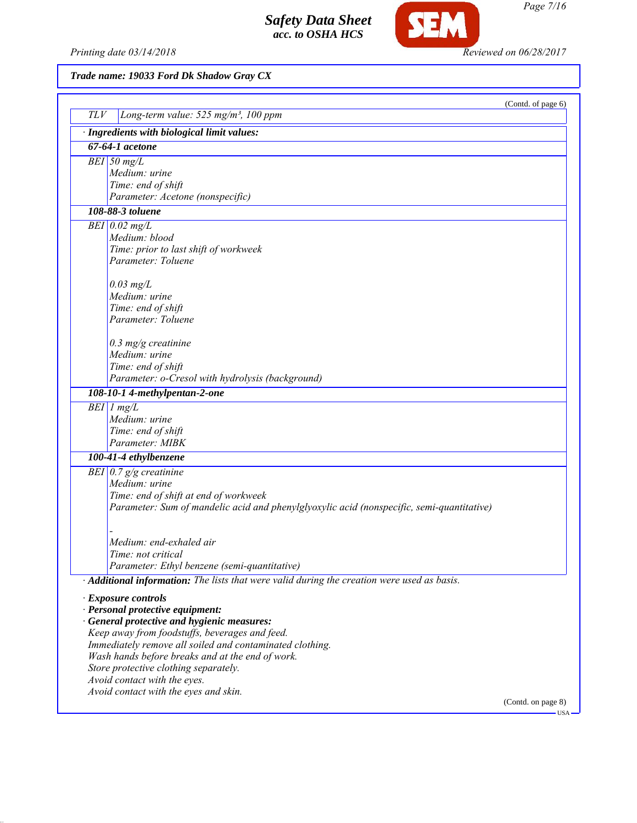Printing date 03/14/2018 **Reviewed on 06/28/2017** 

**SEM** 

*Trade name: 19033 Ford Dk Shadow Gray CX*

|     |                                                                                             | (Contd. of page 6)               |
|-----|---------------------------------------------------------------------------------------------|----------------------------------|
| TLV | Long-term value: 525 mg/m <sup>3</sup> , 100 ppm                                            |                                  |
|     | · Ingredients with biological limit values:                                                 |                                  |
|     | 67-64-1 acetone                                                                             |                                  |
|     | $BEI$ 50 $m\overline{g/L}$                                                                  |                                  |
|     | Medium: urine                                                                               |                                  |
|     | Time: end of shift<br>Parameter: Acetone (nonspecific)                                      |                                  |
|     | 108-88-3 toluene                                                                            |                                  |
|     | $BEI$ 0.02 mg/L                                                                             |                                  |
|     | Medium: blood                                                                               |                                  |
|     | Time: prior to last shift of workweek                                                       |                                  |
|     | Parameter: Toluene                                                                          |                                  |
|     | $0.03$ mg/L                                                                                 |                                  |
|     | Medium: urine                                                                               |                                  |
|     | Time: end of shift                                                                          |                                  |
|     | Parameter: Toluene                                                                          |                                  |
|     | $0.3$ mg/g creatinine                                                                       |                                  |
|     | Medium: urine                                                                               |                                  |
|     | Time: end of shift                                                                          |                                  |
|     | Parameter: o-Cresol with hydrolysis (background)                                            |                                  |
|     | 108-10-1 4-methylpentan-2-one                                                               |                                  |
|     | $BEI$ 1 mg/L                                                                                |                                  |
|     | Medium: urine                                                                               |                                  |
|     | Time: end of shift<br>Parameter: MIBK                                                       |                                  |
|     | 100-41-4 ethylbenzene                                                                       |                                  |
|     | BEI $\vert 0.7 \, g/g$ creatinine                                                           |                                  |
|     | Medium: urine                                                                               |                                  |
|     | Time: end of shift at end of workweek                                                       |                                  |
|     | Parameter: Sum of mandelic acid and phenylglyoxylic acid (nonspecific, semi-quantitative)   |                                  |
|     |                                                                                             |                                  |
|     | Medium: end-exhaled air                                                                     |                                  |
|     | Time: not critical                                                                          |                                  |
|     | Parameter: Ethyl benzene (semi-quantitative)                                                |                                  |
|     | · Additional information: The lists that were valid during the creation were used as basis. |                                  |
|     | · Exposure controls                                                                         |                                  |
|     | · Personal protective equipment:                                                            |                                  |
|     | General protective and hygienic measures:                                                   |                                  |
|     | Keep away from foodstuffs, beverages and feed.                                              |                                  |
|     | Immediately remove all soiled and contaminated clothing.                                    |                                  |
|     | Wash hands before breaks and at the end of work.<br>Store protective clothing separately.   |                                  |
|     | Avoid contact with the eyes.                                                                |                                  |
|     | Avoid contact with the eyes and skin.                                                       |                                  |
|     |                                                                                             | (Contd. on page 8)<br><b>USA</b> |

*Page 7/16*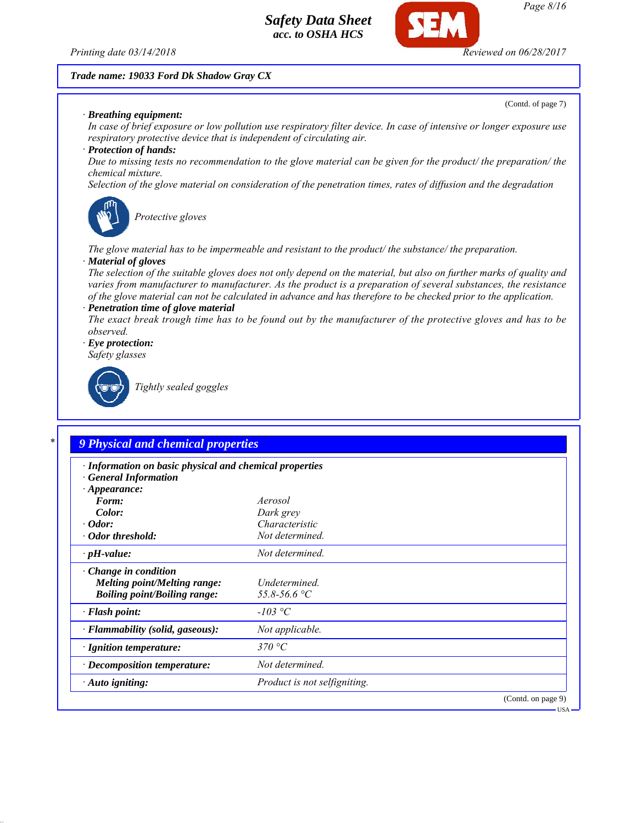*Printing date 03/14/2018 Reviewed on 06/28/2017*

### *Trade name: 19033 Ford Dk Shadow Gray CX*

*· Breathing equipment:*

(Contd. of page 7)

*In case of brief exposure or low pollution use respiratory filter device. In case of intensive or longer exposure use respiratory protective device that is independent of circulating air.*

### *· Protection of hands:*

*Due to missing tests no recommendation to the glove material can be given for the product/ the preparation/ the chemical mixture.*

*Selection of the glove material on consideration of the penetration times, rates of diffusion and the degradation*



*Protective gloves*

*The glove material has to be impermeable and resistant to the product/ the substance/ the preparation.*

### *· Material of gloves*

*The selection of the suitable gloves does not only depend on the material, but also on further marks of quality and varies from manufacturer to manufacturer. As the product is a preparation of several substances, the resistance of the glove material can not be calculated in advance and has therefore to be checked prior to the application. · Penetration time of glove material*

*The exact break trough time has to be found out by the manufacturer of the protective gloves and has to be observed.*

*· Eye protection:*

*Safety glasses*



*Tightly sealed goggles*

| · Information on basic physical and chemical properties<br><b>General Information</b> |                                     |  |
|---------------------------------------------------------------------------------------|-------------------------------------|--|
| $\cdot$ Appearance:                                                                   |                                     |  |
| Form:                                                                                 | Aerosol                             |  |
| Color:                                                                                | Dark grey                           |  |
| $\cdot$ Odor:                                                                         | Characteristic                      |  |
| · Odor threshold:                                                                     | Not determined.                     |  |
| $\cdot$ pH-value:                                                                     | Not determined.                     |  |
| $\cdot$ Change in condition                                                           |                                     |  |
| <b>Melting point/Melting range:</b>                                                   | Undetermined.                       |  |
| <b>Boiling point/Boiling range:</b>                                                   | 55.8-56.6 °C                        |  |
| · Flash point:                                                                        | $-103$ °C                           |  |
| · Flammability (solid, gaseous):                                                      | Not applicable.                     |  |
| · Ignition temperature:                                                               | 370 °C                              |  |
| · Decomposition temperature:                                                          | Not determined.                     |  |
| $\cdot$ Auto igniting:                                                                | <i>Product is not selfigniting.</i> |  |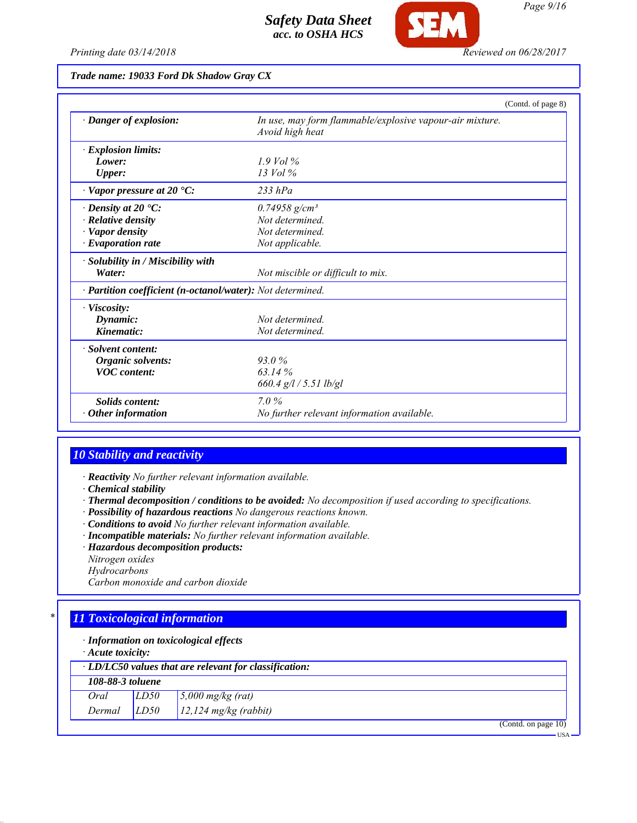

*Printing date 03/14/2018 Reviewed on 06/28/2017*

*Trade name: 19033 Ford Dk Shadow Gray CX*

|                                                            |                                                                             | (Contd. of page 8) |
|------------------------------------------------------------|-----------------------------------------------------------------------------|--------------------|
| · Danger of explosion:                                     | In use, may form flammable/explosive vapour-air mixture.<br>Avoid high heat |                    |
| · Explosion limits:                                        |                                                                             |                    |
| Lower:                                                     | $1.9$ Vol $\%$                                                              |                    |
| <b>Upper:</b>                                              | $13$ Vol $\%$                                                               |                    |
| $\cdot$ Vapor pressure at 20 $\cdot$ C:                    | $233$ hPa                                                                   |                    |
| $\cdot$ Density at 20 $\cdot$ C:                           | $0.74958$ g/cm <sup>3</sup>                                                 |                    |
| $\cdot$ Relative density                                   | Not determined.                                                             |                    |
| · Vapor density                                            | Not determined.                                                             |                    |
| · Evaporation rate                                         | Not applicable.                                                             |                    |
| · Solubility in / Miscibility with                         |                                                                             |                    |
| Water:                                                     | Not miscible or difficult to mix.                                           |                    |
| · Partition coefficient (n-octanol/water): Not determined. |                                                                             |                    |
| $\cdot$ Viscosity:                                         |                                                                             |                    |
| Dynamic:                                                   | Not determined                                                              |                    |
| Kinematic:                                                 | Not determined.                                                             |                    |
| · Solvent content:                                         |                                                                             |                    |
| Organic solvents:                                          | 93.0%                                                                       |                    |
| <b>VOC</b> content:                                        | 63.14%                                                                      |                    |
|                                                            | $660.4$ g/l / 5.51 lb/gl                                                    |                    |
| Solids content:                                            | $7.0\%$                                                                     |                    |
| Other information                                          | No further relevant information available.                                  |                    |

### *10 Stability and reactivity*

*· Reactivity No further relevant information available.*

*· Chemical stability*

- *· Thermal decomposition / conditions to be avoided: No decomposition if used according to specifications.*
- *· Possibility of hazardous reactions No dangerous reactions known.*
- *· Conditions to avoid No further relevant information available.*
- *· Incompatible materials: No further relevant information available.*
- *· Hazardous decomposition products:*
- *Nitrogen oxides*
- *Hydrocarbons*

*Carbon monoxide and carbon dioxide*

# *\* 11 Toxicological information*

*· Information on toxicological effects*

*· Acute toxicity:*

|                  | $\cdot$ LD/LC50 values that are relevant for classification: |                                            |  |  |  |  |
|------------------|--------------------------------------------------------------|--------------------------------------------|--|--|--|--|
| 108-88-3 toluene |                                                              |                                            |  |  |  |  |
| Oral             | LD50                                                         | $\frac{5,000 \text{ mg/kg}}{(\text{rat})}$ |  |  |  |  |
| Dermal           | LD50                                                         | $12,124$ mg/kg (rabbit)                    |  |  |  |  |

(Contd. on page 10)

USA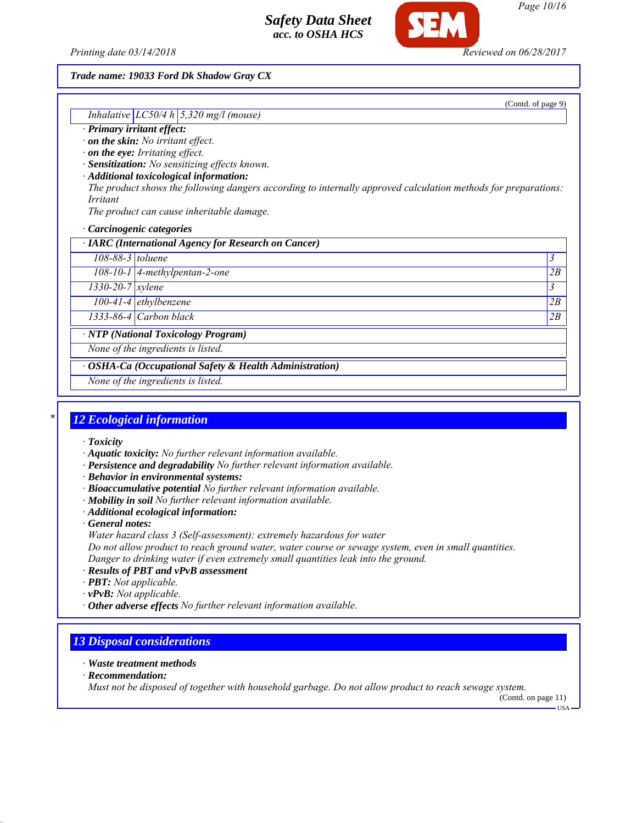*Printing date 03/14/2018 Reviewed on 06/28/2017*

### *Trade name: 19033 Ford Dk Shadow Gray CX*

(Contd. of page 9)

# *Inhalative LC50/4 h 5,320 mg/l (mouse)*

- *· Primary irritant effect:*
- *· on the skin: No irritant effect.*
- *· on the eye: Irritating effect.*
- *· Sensitization: No sensitizing effects known.*
- *· Additional toxicological information: The product shows the following dangers according to internally approved calculation methods for preparations: Irritant*

*The product can cause inheritable damage.*

*· Carcinogenic categories*

*· IARC (International Agency for Research on Cancer)*

*108-88-3 toluene 3* 

*108-10-1 4-methylpentan-2-one 2B*

*1330-20-7 xylene 3* 

*100-41-4 ethylbenzene 2B*

*1333-86-4 Carbon black 2B*

*· NTP (National Toxicology Program)*

*None of the ingredients is listed.*

*· OSHA-Ca (Occupational Safety & Health Administration)*

*None of the ingredients is listed.*

### *\* 12 Ecological information*

- *· Toxicity*
- *· Aquatic toxicity: No further relevant information available.*
- *· Persistence and degradability No further relevant information available.*
- *· Behavior in environmental systems:*
- *· Bioaccumulative potential No further relevant information available.*
- *· Mobility in soil No further relevant information available.*
- *· Additional ecological information:*

*· General notes:*

*Water hazard class 3 (Self-assessment): extremely hazardous for water*

*Do not allow product to reach ground water, water course or sewage system, even in small quantities. Danger to drinking water if even extremely small quantities leak into the ground.*

- *· Results of PBT and vPvB assessment*
- *· PBT: Not applicable.*
- *· vPvB: Not applicable.*
- *· Other adverse effects No further relevant information available.*

### *13 Disposal considerations*

- *· Waste treatment methods*
- *· Recommendation:*

*Must not be disposed of together with household garbage. Do not allow product to reach sewage system.*

(Contd. on page 11) USA

*Page 10/16*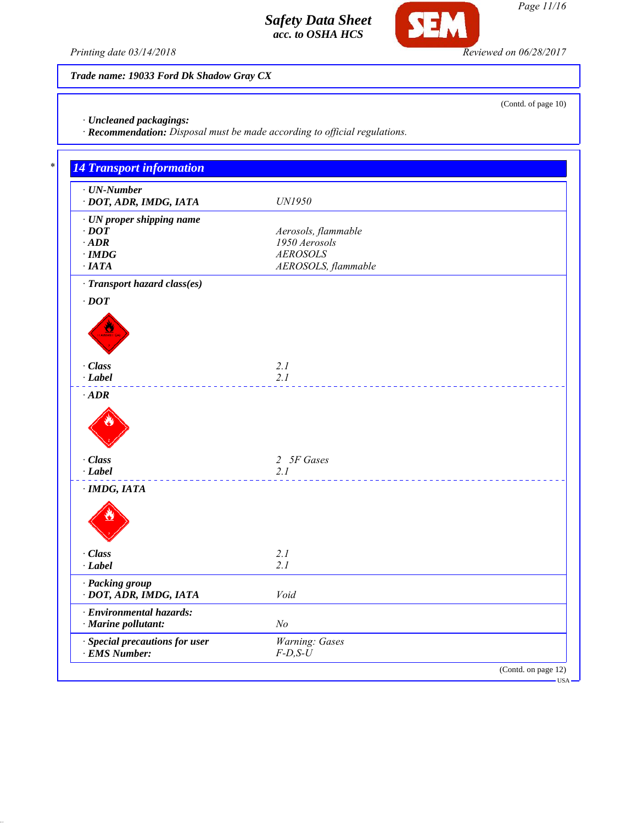

**SEM** 

*Trade name: 19033 Ford Dk Shadow Gray CX*

*· Uncleaned packagings:*

*· Recommendation: Disposal must be made according to official regulations.*

| $\cdot$ UN-Number<br>· DOT, ADR, IMDG, IATA | UN1950              |
|---------------------------------------------|---------------------|
| $\cdot$ UN proper shipping name             |                     |
| $\cdot$ DOT                                 | Aerosols, flammable |
| $\cdot$ ADR                                 | 1950 Aerosols       |
| $\cdot$ IMDG                                | <b>AEROSOLS</b>     |
| $\cdot$ IATA                                | AEROSOLS, flammable |
| · Transport hazard class(es)                |                     |
| $\cdot$ DOT                                 |                     |
|                                             |                     |
|                                             |                     |
|                                             |                     |
|                                             |                     |
| · Class                                     | 2.1                 |
| $-Label$                                    | 2.1                 |
| $\cdot$ ADR                                 |                     |
|                                             |                     |
| · Class                                     | 2 5F Gases          |
| $\cdot$ Label                               | 2.1                 |
| $\cdot$ IMDG, IATA                          |                     |
|                                             |                     |
|                                             |                     |
|                                             |                     |
|                                             |                     |
| · Class                                     | 2.1                 |
| $\cdot$ Label                               | 2.1                 |
| · Packing group                             |                     |
| · DOT, ADR, IMDG, IATA                      | Void                |
| · Environmental hazards:                    |                     |
| · Marine pollutant:                         | N <sub>o</sub>      |
| · Special precautions for user              | Warning: Gases      |
| $\cdot$ EMS Number:                         | $F$ -D,S-U          |

(Contd. of page 10)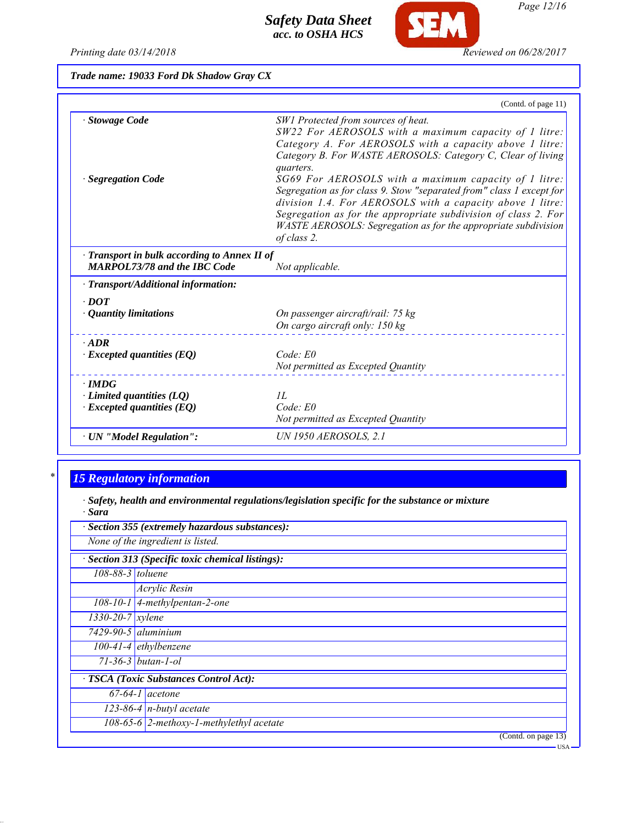

**SEM** 

| Trade name: 19033 Ford Dk Shadow Gray CX |  |  |  |  |  |
|------------------------------------------|--|--|--|--|--|
|------------------------------------------|--|--|--|--|--|

| Stowage Code                                                                        |                                                                                                                                                                                                                                                                                                                                                                                                                                                                                                                                                                                      |
|-------------------------------------------------------------------------------------|--------------------------------------------------------------------------------------------------------------------------------------------------------------------------------------------------------------------------------------------------------------------------------------------------------------------------------------------------------------------------------------------------------------------------------------------------------------------------------------------------------------------------------------------------------------------------------------|
| <b>Segregation Code</b>                                                             | SW1 Protected from sources of heat.<br>SW22 For AEROSOLS with a maximum capacity of 1 litre:<br>Category A. For AEROSOLS with a capacity above 1 litre:<br>Category B. For WASTE AEROSOLS: Category C, Clear of living<br>quarters.<br>SG69 For AEROSOLS with a maximum capacity of 1 litre:<br>Segregation as for class 9. Stow "separated from" class 1 except for<br>division 1.4. For AEROSOLS with a capacity above 1 litre:<br>Segregation as for the appropriate subdivision of class 2. For<br>WASTE AEROSOLS: Segregation as for the appropriate subdivision<br>of class 2. |
| · Transport in bulk according to Annex II of<br><b>MARPOL73/78 and the IBC Code</b> | Not applicable.                                                                                                                                                                                                                                                                                                                                                                                                                                                                                                                                                                      |
| $\cdot$ Transport/Additional information:                                           |                                                                                                                                                                                                                                                                                                                                                                                                                                                                                                                                                                                      |
| $\cdot$ DOT<br>$\cdot$ Quantity limitations                                         | On passenger aircraft/rail: 75 kg<br>On cargo aircraft only: 150 kg                                                                                                                                                                                                                                                                                                                                                                                                                                                                                                                  |
| $\cdot$ ADR<br>$\cdot$ Excepted quantities (EQ)                                     | Code: E0<br>Not permitted as Excepted Quantity                                                                                                                                                                                                                                                                                                                                                                                                                                                                                                                                       |
| $\cdot$ IMDG<br>$\cdot$ Limited quantities (LQ)<br>$\cdot$ Excepted quantities (EQ) | II.<br>$Code$ : $E0$<br>Not permitted as Excepted Quantity                                                                                                                                                                                                                                                                                                                                                                                                                                                                                                                           |
| $\cdot$ UN "Model Regulation":                                                      | UN 1950 AEROSOLS, 2.1                                                                                                                                                                                                                                                                                                                                                                                                                                                                                                                                                                |

# *\* 15 Regulatory information*

*· Safety, health and environmental regulations/legislation specific for the substance or mixture · Sara*

| · Section 355 (extremely hazardous substances):   |                                              |  |  |
|---------------------------------------------------|----------------------------------------------|--|--|
| None of the ingredient is listed.                 |                                              |  |  |
| · Section 313 (Specific toxic chemical listings): |                                              |  |  |
| 108-88-3 toluene                                  |                                              |  |  |
|                                                   | Acrylic Resin                                |  |  |
|                                                   | $\overline{108-10-1}$ 4-methylpentan-2-one   |  |  |
| $\frac{1330}{20}$ -20-7   xylene                  |                                              |  |  |
| $7429 - 90 - 5$ aluminium                         |                                              |  |  |
|                                                   | $100-41-4$ ethylbenzene                      |  |  |
|                                                   | $71 - 36 - 3$ butan-1-ol                     |  |  |
| · TSCA (Toxic Substances Control Act):            |                                              |  |  |
|                                                   | $67-64-1$ acetone                            |  |  |
|                                                   | $\sqrt{123-86-4}$ n-butyl acetate            |  |  |
|                                                   | 108-65-6 $ 2$ -methoxy-1-methylethyl acetate |  |  |
|                                                   | (Contd. on page 13)                          |  |  |
|                                                   | - USA                                        |  |  |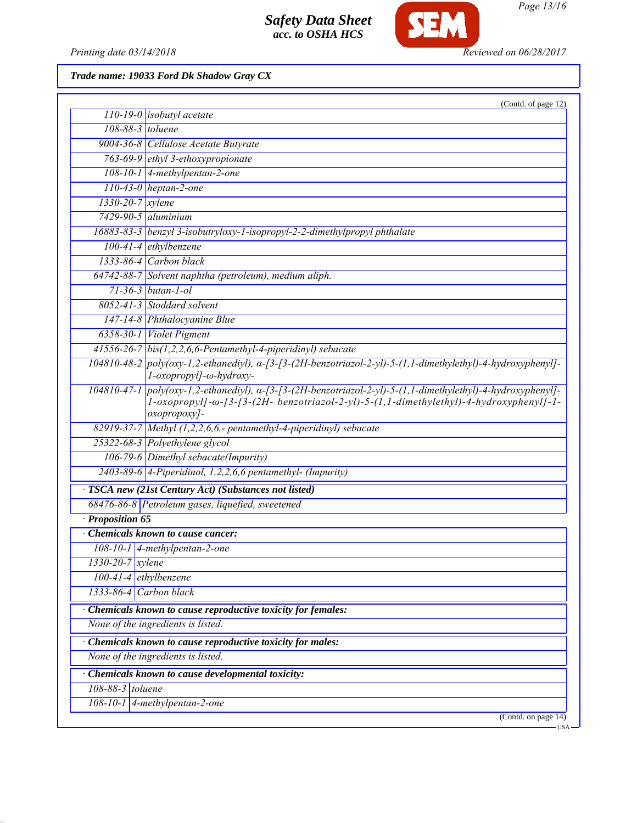

*Page 13/16*

*Printing date 03/14/2018 Reviewed on 06/28/2017*

*Trade name: 19033 Ford Dk Shadow Gray CX*

|                          | (Contd. of page 12)                                                                                                                                                                                                     |  |  |
|--------------------------|-------------------------------------------------------------------------------------------------------------------------------------------------------------------------------------------------------------------------|--|--|
|                          | $110-19-0$ isobutyl acetate                                                                                                                                                                                             |  |  |
| 108-88-3 toluene         |                                                                                                                                                                                                                         |  |  |
|                          | 9004-36-8 Cellulose Acetate Butyrate                                                                                                                                                                                    |  |  |
|                          | 763-69-9 ethyl 3-ethoxypropionate                                                                                                                                                                                       |  |  |
|                          | 108-10-1 4-methylpentan-2-one                                                                                                                                                                                           |  |  |
|                          | $110-43-0$ heptan-2-one                                                                                                                                                                                                 |  |  |
| 1330-20-7 xylene         |                                                                                                                                                                                                                         |  |  |
|                          | $7429 - 90 - 5$ aluminium                                                                                                                                                                                               |  |  |
|                          | 16883-83-3 benzyl 3-isobutryloxy-1-isopropyl-2-2-dimethylpropyl phthalate                                                                                                                                               |  |  |
|                          | $100-41-4$ ethylbenzene                                                                                                                                                                                                 |  |  |
|                          | 1333-86-4 Carbon black                                                                                                                                                                                                  |  |  |
|                          | 64742-88-7 Solvent naphtha (petroleum), medium aliph.                                                                                                                                                                   |  |  |
|                          | $71 - 36 - 3$ butan-1-ol                                                                                                                                                                                                |  |  |
|                          | 8052-41-3 Stoddard solvent                                                                                                                                                                                              |  |  |
|                          | 147-14-8 Phthalocyanine Blue                                                                                                                                                                                            |  |  |
|                          | 6358-30-1 Violet Pigment                                                                                                                                                                                                |  |  |
|                          | $41556-26-7$ bis(1,2,2,6,6-Pentamethyl-4-piperidinyl) sebacate                                                                                                                                                          |  |  |
|                          | $104810-48-2$ poly(oxy-1,2-ethanediyl), $\alpha$ -[3-[3-(2H-benzotriazol-2-yl)-5-(1,1-dimethylethyl)-4-hydroxyphenyl]-<br>l-oxopropyl]-ω-hydroxy-                                                                       |  |  |
| 104810-47-1              | $poly(oxy-1,2-ethanedyl), \alpha-\frac{3-}{3-2.2H-benzotriazol-2-yl)-5-(1,1-dimethylethyl)-4-hydroxyphenyl]-$<br>1-oxopropyl]-ω-[3-[3-(2H- benzotriazol-2-yl)-5-(1,1-dimethylethyl)-4-hydroxyphenyl]-1-<br>oxopropoxy]- |  |  |
|                          | 82919-37-7 Methyl (1,2,2,6,6,- pentamethyl-4-piperidinyl) sebacate                                                                                                                                                      |  |  |
|                          | 25322-68-3 Polyethylene glycol                                                                                                                                                                                          |  |  |
|                          | 106-79-6 Dimethyl sebacate(Impurity)                                                                                                                                                                                    |  |  |
|                          | $2403-89-6$ 4-Piperidinol, 1,2,2,6,6 pentamethyl- (Impurity)                                                                                                                                                            |  |  |
|                          | · TSCA new (21st Century Act) (Substances not listed)                                                                                                                                                                   |  |  |
|                          | 68476-86-8 Petroleum gases, liquefied, sweetened                                                                                                                                                                        |  |  |
| · Proposition 65         |                                                                                                                                                                                                                         |  |  |
|                          | Chemicals known to cause cancer:                                                                                                                                                                                        |  |  |
|                          | 108-10-1 4-methylpentan-2-one                                                                                                                                                                                           |  |  |
| $1330 - 20 - 7$ xylene   |                                                                                                                                                                                                                         |  |  |
| $100-41-4$ ethylbenzene  |                                                                                                                                                                                                                         |  |  |
| $1333-86-4$ Carbon black |                                                                                                                                                                                                                         |  |  |
|                          | Chemicals known to cause reproductive toxicity for females:                                                                                                                                                             |  |  |
|                          | None of the ingredients is listed.                                                                                                                                                                                      |  |  |
|                          | Chemicals known to cause reproductive toxicity for males:                                                                                                                                                               |  |  |
|                          |                                                                                                                                                                                                                         |  |  |
|                          | None of the ingredients is listed.                                                                                                                                                                                      |  |  |
|                          | Chemicals known to cause developmental toxicity:                                                                                                                                                                        |  |  |
| 108-88-3 toluene         |                                                                                                                                                                                                                         |  |  |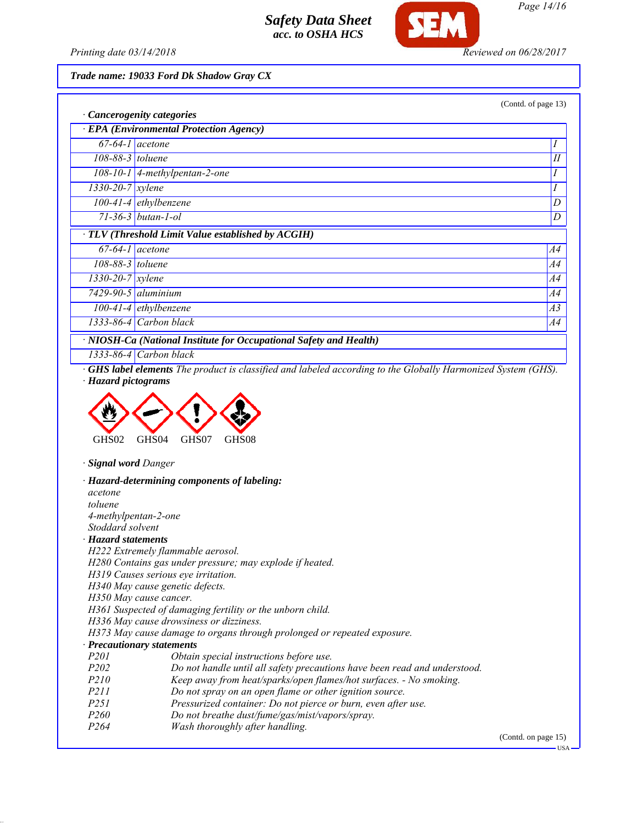

*Page 14/16*

*Printing date 03/14/2018 Reviewed on 06/28/2017*

*Trade name: 19033 Ford Dk Shadow Gray CX*

|                                                                       |                                                    | (Contd. of page 13) |  |  |
|-----------------------------------------------------------------------|----------------------------------------------------|---------------------|--|--|
| · Cancerogenity categories<br>· EPA (Environmental Protection Agency) |                                                    |                     |  |  |
| $67-64-1$ acetone                                                     |                                                    | 1                   |  |  |
| 108-88-3 toluene                                                      |                                                    | П                   |  |  |
|                                                                       | $108-10-1$   4-methylpentan-2-one                  | $\prime$            |  |  |
| $\overline{1330-20-7}$ xylene                                         |                                                    | $\prime$            |  |  |
|                                                                       | $100-41-4$ ethylbenzene                            | D                   |  |  |
|                                                                       | $71 - 36 - 3$ butan-1-ol                           | D                   |  |  |
|                                                                       | · TLV (Threshold Limit Value established by ACGIH) |                     |  |  |
| $67-64-1$ acetone                                                     |                                                    | A4                  |  |  |
| 108-88-3 toluene                                                      |                                                    | A4                  |  |  |
| $\frac{1330}{-20-7}$ xylene                                           |                                                    | A4                  |  |  |
|                                                                       | $7429 - 90 - 5$ aluminium                          | A4                  |  |  |
|                                                                       | $100-41-4$ ethylbenzene                            | A3                  |  |  |
|                                                                       | $1333-86-4$ Carbon black                           | A4                  |  |  |
| · NIOSH-Ca (National Institute for Occupational Safety and Health)    |                                                    |                     |  |  |

*1333-86-4 Carbon black*

*· GHS label elements The product is classified and labeled according to the Globally Harmonized System (GHS). · Hazard pictograms*



*· Signal word Danger*

*· Hazard-determining components of labeling: acetone toluene 4-methylpentan-2-one Stoddard solvent · Hazard statements H222 Extremely flammable aerosol. H280 Contains gas under pressure; may explode if heated. H319 Causes serious eye irritation. H340 May cause genetic defects. H350 May cause cancer. H361 Suspected of damaging fertility or the unborn child. H336 May cause drowsiness or dizziness. H373 May cause damage to organs through prolonged or repeated exposure. · Precautionary statements P201 Obtain special instructions before use. P202 Do not handle until all safety precautions have been read and understood. P210 Keep away from heat/sparks/open flames/hot surfaces. - No smoking. P211 Do not spray on an open flame or other ignition source. P251 Pressurized container: Do not pierce or burn, even after use. P260 Do not breathe dust/fume/gas/mist/vapors/spray. P264 Wash thoroughly after handling.* (Contd. on page 15)

 $-118A$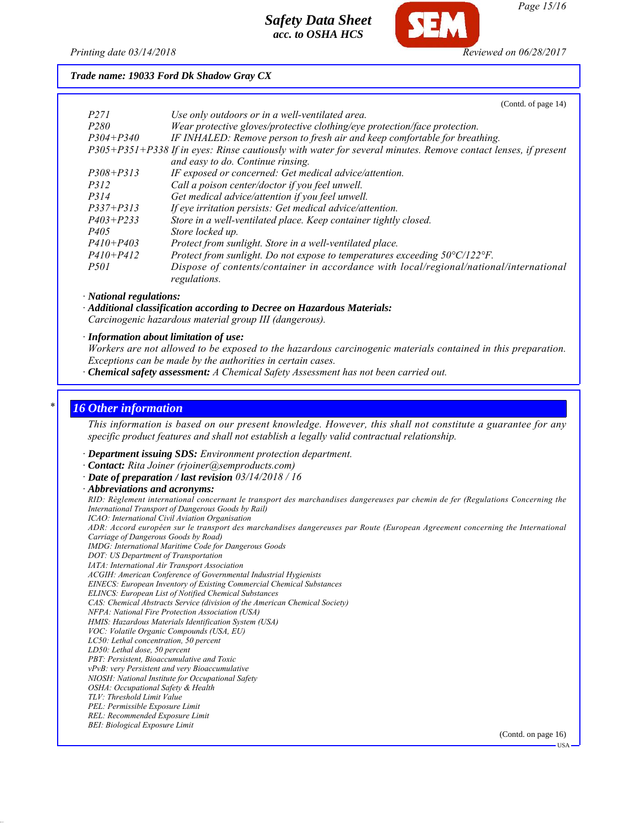

*Page 15/16*

*Printing date 03/14/2018 Reviewed on 06/28/2017*

 $(C_{\text{outd}} \text{ of mass } 14)$ 

*Trade name: 19033 Ford Dk Shadow Gray CX*

|                  | (COMO. OF $page 14$ )                                                                                         |
|------------------|---------------------------------------------------------------------------------------------------------------|
| <i>P271</i>      | Use only outdoors or in a well-ventilated area.                                                               |
| P <sub>280</sub> | Wear protective gloves/protective clothing/eye protection/face protection.                                    |
| $P304 + P340$    | IF INHALED: Remove person to fresh air and keep comfortable for breathing.                                    |
|                  | P305+P351+P338 If in eyes: Rinse cautiously with water for several minutes. Remove contact lenses, if present |
|                  | and easy to do. Continue rinsing.                                                                             |
| $P308 + P313$    | IF exposed or concerned: Get medical advice/attention.                                                        |
| <i>P312</i>      | Call a poison center/doctor if you feel unwell.                                                               |
| <i>P314</i>      | Get medical advice/attention if you feel unwell.                                                              |
| $P337 + P313$    | If eye irritation persists: Get medical advice/attention.                                                     |
| $P403 + P233$    | Store in a well-ventilated place. Keep container tightly closed.                                              |
| <i>P405</i>      | Store locked up.                                                                                              |
| $P410 + P403$    | Protect from sunlight. Store in a well-ventilated place.                                                      |
| $P410 + P412$    | Protect from sunlight. Do not expose to temperatures exceeding $50^{\circ}C/122^{\circ}F$ .                   |
| <i>P501</i>      | Dispose of contents/container in accordance with local/regional/national/international<br>regulations.        |

*· National regulations:*

*· Additional classification according to Decree on Hazardous Materials: Carcinogenic hazardous material group III (dangerous).*

*· Information about limitation of use:*

*Workers are not allowed to be exposed to the hazardous carcinogenic materials contained in this preparation. Exceptions can be made by the authorities in certain cases.*

*· Chemical safety assessment: A Chemical Safety Assessment has not been carried out.*

### *\* 16 Other information*

*This information is based on our present knowledge. However, this shall not constitute a guarantee for any specific product features and shall not establish a legally valid contractual relationship.*

*· Department issuing SDS: Environment protection department.*

*· Contact: Rita Joiner (rjoiner@semproducts.com)*

*· Date of preparation / last revision 03/14/2018 / 16*

*· Abbreviations and acronyms:*

*RID: Règlement international concernant le transport des marchandises dangereuses par chemin de fer (Regulations Concerning the International Transport of Dangerous Goods by Rail)*

*ICAO: International Civil Aviation Organisation*

*ADR: Accord européen sur le transport des marchandises dangereuses par Route (European Agreement concerning the International Carriage of Dangerous Goods by Road)*

*IMDG: International Maritime Code for Dangerous Goods*

*DOT: US Department of Transportation*

*IATA: International Air Transport Association*

*ACGIH: American Conference of Governmental Industrial Hygienists EINECS: European Inventory of Existing Commercial Chemical Substances*

*ELINCS: European List of Notified Chemical Substances*

*CAS: Chemical Abstracts Service (division of the American Chemical Society)*

*NFPA: National Fire Protection Association (USA)*

*HMIS: Hazardous Materials Identification System (USA)*

*VOC: Volatile Organic Compounds (USA, EU)*

*LC50: Lethal concentration, 50 percent*

*LD50: Lethal dose, 50 percent*

*PBT: Persistent, Bioaccumulative and Toxic*

*vPvB: very Persistent and very Bioaccumulative*

*NIOSH: National Institute for Occupational Safety*

*OSHA: Occupational Safety & Health*

*TLV: Threshold Limit Value*

*PEL: Permissible Exposure Limit REL: Recommended Exposure Limit*

*BEI: Biological Exposure Limit*

(Contd. on page 16)

USA